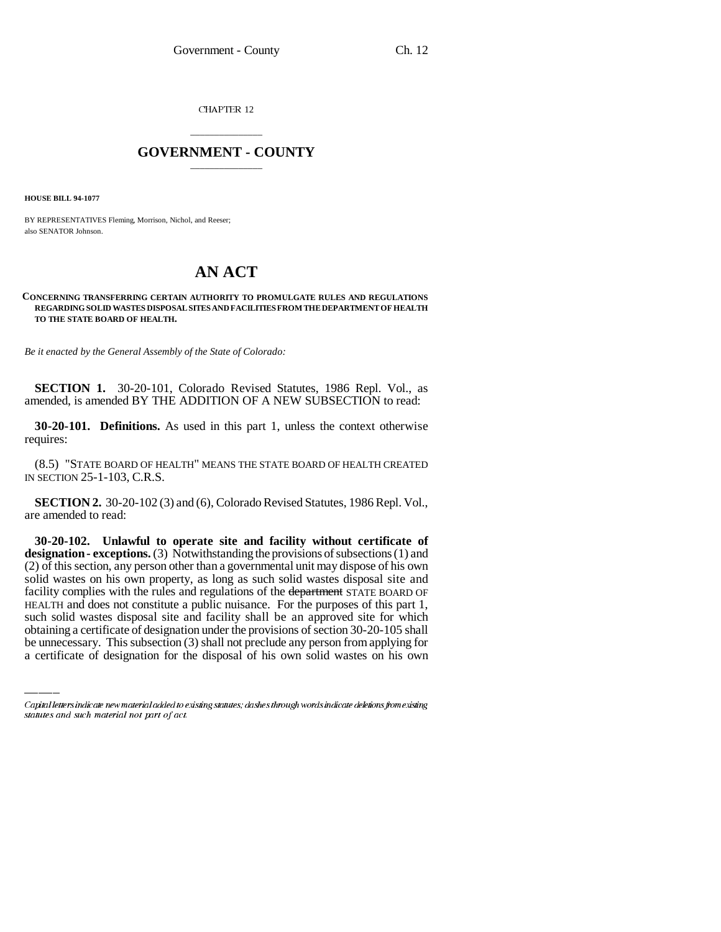CHAPTER 12

## \_\_\_\_\_\_\_\_\_\_\_\_\_\_\_ **GOVERNMENT - COUNTY** \_\_\_\_\_\_\_\_\_\_\_\_\_\_\_

**HOUSE BILL 94-1077**

BY REPRESENTATIVES Fleming, Morrison, Nichol, and Reeser; also SENATOR Johnson.

## **AN ACT**

## **CONCERNING TRANSFERRING CERTAIN AUTHORITY TO PROMULGATE RULES AND REGULATIONS REGARDING SOLID WASTES DISPOSAL SITES AND FACILITIES FROM THE DEPARTMENT OF HEALTH TO THE STATE BOARD OF HEALTH.**

*Be it enacted by the General Assembly of the State of Colorado:*

**SECTION 1.** 30-20-101, Colorado Revised Statutes, 1986 Repl. Vol., as amended, is amended BY THE ADDITION OF A NEW SUBSECTION to read:

**30-20-101. Definitions.** As used in this part 1, unless the context otherwise requires:

(8.5) "STATE BOARD OF HEALTH" MEANS THE STATE BOARD OF HEALTH CREATED IN SECTION 25-1-103, C.R.S.

**SECTION 2.** 30-20-102 (3) and (6), Colorado Revised Statutes, 1986 Repl. Vol., are amended to read:

HEALTH and does not constitute a public nuisance. For the purposes of this part 1, **30-20-102. Unlawful to operate site and facility without certificate of designation - exceptions.** (3) Notwithstanding the provisions of subsections (1) and (2) of this section, any person other than a governmental unit may dispose of his own solid wastes on his own property, as long as such solid wastes disposal site and facility complies with the rules and regulations of the department STATE BOARD OF such solid wastes disposal site and facility shall be an approved site for which obtaining a certificate of designation under the provisions of section 30-20-105 shall be unnecessary. This subsection (3) shall not preclude any person from applying for a certificate of designation for the disposal of his own solid wastes on his own

Capital letters indicate new material added to existing statutes; dashes through words indicate deletions from existing statutes and such material not part of act.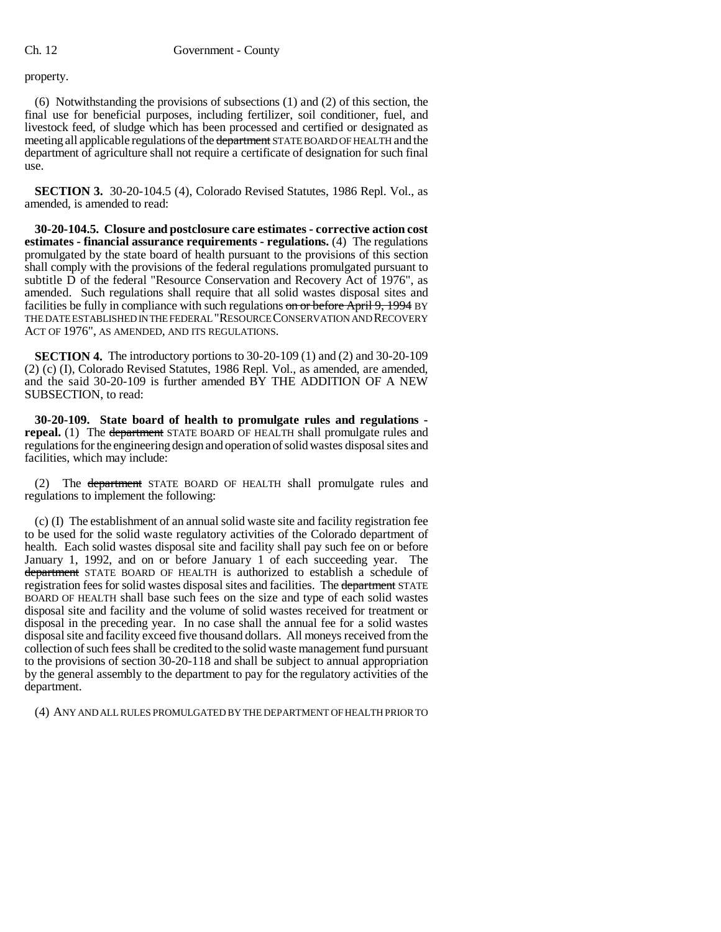property.

(6) Notwithstanding the provisions of subsections (1) and (2) of this section, the final use for beneficial purposes, including fertilizer, soil conditioner, fuel, and livestock feed, of sludge which has been processed and certified or designated as meeting all applicable regulations of the department STATE BOARD OF HEALTH and the department of agriculture shall not require a certificate of designation for such final use.

**SECTION 3.** 30-20-104.5 (4), Colorado Revised Statutes, 1986 Repl. Vol., as amended, is amended to read:

**30-20-104.5. Closure and postclosure care estimates - corrective action cost estimates - financial assurance requirements - regulations.** (4) The regulations promulgated by the state board of health pursuant to the provisions of this section shall comply with the provisions of the federal regulations promulgated pursuant to subtitle D of the federal "Resource Conservation and Recovery Act of 1976", as amended. Such regulations shall require that all solid wastes disposal sites and facilities be fully in compliance with such regulations on or before April 9, 1994 BY THE DATE ESTABLISHED IN THE FEDERAL "RESOURCE CONSERVATION AND RECOVERY ACT OF 1976", AS AMENDED, AND ITS REGULATIONS.

**SECTION 4.** The introductory portions to 30-20-109 (1) and (2) and 30-20-109 (2) (c) (I), Colorado Revised Statutes, 1986 Repl. Vol., as amended, are amended, and the said 30-20-109 is further amended BY THE ADDITION OF A NEW SUBSECTION, to read:

**30-20-109. State board of health to promulgate rules and regulations repeal.** (1) The department STATE BOARD OF HEALTH shall promulgate rules and regulations for the engineering design and operation of solid wastes disposal sites and facilities, which may include:

(2) The department STATE BOARD OF HEALTH shall promulgate rules and regulations to implement the following:

(c) (I) The establishment of an annual solid waste site and facility registration fee to be used for the solid waste regulatory activities of the Colorado department of health. Each solid wastes disposal site and facility shall pay such fee on or before January 1, 1992, and on or before January 1 of each succeeding year. The department STATE BOARD OF HEALTH is authorized to establish a schedule of registration fees for solid wastes disposal sites and facilities. The department STATE BOARD OF HEALTH shall base such fees on the size and type of each solid wastes disposal site and facility and the volume of solid wastes received for treatment or disposal in the preceding year. In no case shall the annual fee for a solid wastes disposal site and facility exceed five thousand dollars. All moneys received from the collection of such fees shall be credited to the solid waste management fund pursuant to the provisions of section 30-20-118 and shall be subject to annual appropriation by the general assembly to the department to pay for the regulatory activities of the department.

(4) ANY AND ALL RULES PROMULGATED BY THE DEPARTMENT OF HEALTH PRIOR TO